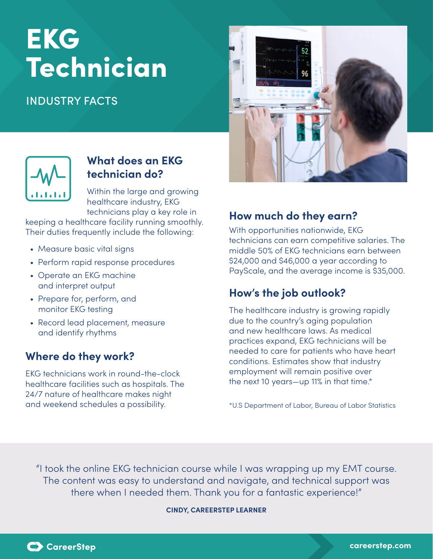# **EKG** Technician

## INDUSTRY FACTS





## **What does an EKG technician do?**

Within the large and growing healthcare industry, EKG technicians play a key role in

keeping a healthcare facility running smoothly. Their duties frequently include the following:

- Measure basic vital signs
- Perform rapid response procedures
- Operate an EKG machine and interpret output
- Prepare for, perform, and monitor EKG testing
- Record lead placement, measure and identify rhythms

### **Where do they work?**

EKG technicians work in round-the-clock healthcare facilities such as hospitals. The 24/7 nature of healthcare makes night and weekend schedules a possibility.

## **How much do they earn?**

With opportunities nationwide, EKG technicians can earn competitive salaries. The middle 50% of EKG technicians earn between \$24,000 and \$46,000 a year according to PayScale, and the average income is \$35,000.

## **How's the job outlook?**

The healthcare industry is growing rapidly due to the country's aging population and new healthcare laws. As medical practices expand, EKG technicians will be needed to care for patients who have heart conditions. Estimates show that industry employment will remain positive over the next 10 years—up 11% in that time.\*

\*U.S Department of Labor, Bureau of Labor Statistics

"I took the online EKG technician course while I was wrapping up my EMT course. The content was easy to understand and navigate, and technical support was there when I needed them. Thank you for a fantastic experience!"

#### **CINDY, CAREERSTEP LEARNER**